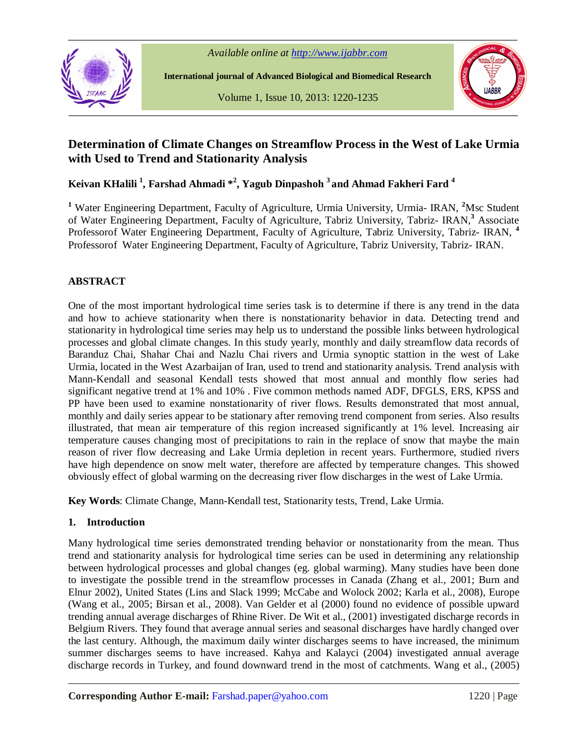



**International journal of Advanced Biological and Biomedical Research**

Volume 1, Issue 10, 2013: 1220-1235



# **Determination of Climate Changes on Streamflow Process in the West of Lake Urmia with Used to Trend and Stationarity Analysis**

**Keivan KHalili <sup>1</sup> , Farshad Ahmadi \* 2 , Yagub Dinpashoh <sup>3</sup>and Ahmad Fakheri Fard <sup>4</sup>**

**<sup>1</sup>** Water Engineering Department, Faculty of Agriculture, Urmia University, Urmia- IRAN, **<sup>2</sup>**Msc Student of Water Engineering Department, Faculty of Agriculture, Tabriz University, Tabriz- IRAN,**<sup>3</sup>** Associate Professorof Water Engineering Department, Faculty of Agriculture, Tabriz University, Tabriz- IRAN, **<sup>4</sup>** Professorof Water Engineering Department, Faculty of Agriculture, Tabriz University, Tabriz- IRAN.

# **ABSTRACT**

One of the most important hydrological time series task is to determine if there is any trend in the data and how to achieve stationarity when there is nonstationarity behavior in data. Detecting trend and stationarity in hydrological time series may help us to understand the possible links between hydrological processes and global climate changes. In this study yearly, monthly and daily streamflow data records of Baranduz Chai, Shahar Chai and Nazlu Chai rivers and Urmia synoptic stattion in the west of Lake Urmia, located in the West Azarbaijan of Iran, used to trend and stationarity analysis. Trend analysis with Mann-Kendall and seasonal Kendall tests showed that most annual and monthly flow series had significant negative trend at 1% and 10% . Five common methods named ADF, DFGLS, ERS, KPSS and PP have been used to examine nonstationarity of river flows. Results demonstrated that most annual, monthly and daily series appear to be stationary after removing trend component from series. Also results illustrated, that mean air temperature of this region increased significantly at 1% level. Increasing air temperature causes changing most of precipitations to rain in the replace of snow that maybe the main reason of river flow decreasing and Lake Urmia depletion in recent years. Furthermore, studied rivers have high dependence on snow melt water, therefore are affected by temperature changes. This showed obviously effect of global warming on the decreasing river flow discharges in the west of Lake Urmia.

**Key Words**: Climate Change, Mann-Kendall test, Stationarity tests, Trend, Lake Urmia.

#### **1. Introduction**

Many hydrological time series demonstrated trending behavior or nonstationarity from the mean. Thus trend and stationarity analysis for hydrological time series can be used in determining any relationship between hydrological processes and global changes (eg. global warming). Many studies have been done to investigate the possible trend in the streamflow processes in Canada (Zhang et al., 2001; Burn and Elnur 2002), United States (Lins and Slack 1999; McCabe and Wolock 2002; Karla et al., 2008), Europe (Wang et al., 2005; Birsan et al., 2008). Van Gelder et al (2000) found no evidence of possible upward trending annual average discharges of Rhine River. De Wit et al., (2001) investigated discharge records in Belgium Rivers. They found that average annual series and seasonal discharges have hardly changed over the last century. Although, the maximum daily winter discharges seems to have increased, the minimum summer discharges seems to have increased. Kahya and Kalayci (2004) investigated annual average discharge records in Turkey, and found downward trend in the most of catchments. Wang et al., (2005)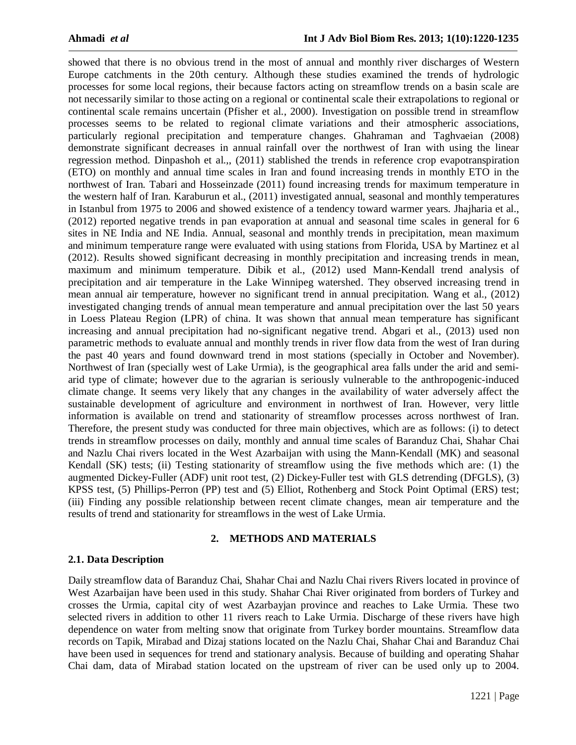showed that there is no obvious trend in the most of annual and monthly river discharges of Western Europe catchments in the 20th century. Although these studies examined the trends of hydrologic processes for some local regions, their because factors acting on streamflow trends on a basin scale are not necessarily similar to those acting on a regional or continental scale their extrapolations to regional or continental scale remains uncertain (Pfisher et al., 2000). Investigation on possible trend in streamflow processes seems to be related to regional climate variations and their atmospheric associations, particularly regional precipitation and temperature changes. Ghahraman and Taghvaeian (2008) demonstrate significant decreases in annual rainfall over the northwest of Iran with using the linear regression method. Dinpashoh et al.,, (2011) stablished the trends in reference crop evapotranspiration (ETO) on monthly and annual time scales in Iran and found increasing trends in monthly ETO in the northwest of Iran. Tabari and Hosseinzade (2011) found increasing trends for maximum temperature in the western half of Iran. Karaburun et al., (2011) investigated annual, seasonal and monthly temperatures in Istanbul from 1975 to 2006 and showed existence of a tendency toward warmer years. Jhajharia et al., (2012) reported negative trends in pan evaporation at annual and seasonal time scales in general for 6 sites in NE India and NE India. Annual, seasonal and monthly trends in precipitation, mean maximum and minimum temperature range were evaluated with using stations from Florida, USA by Martinez et al (2012). Results showed significant decreasing in monthly precipitation and increasing trends in mean, maximum and minimum temperature. Dibik et al., (2012) used Mann-Kendall trend analysis of precipitation and air temperature in the Lake Winnipeg watershed. They observed increasing trend in mean annual air temperature, however no significant trend in annual precipitation. Wang et al., (2012) investigated changing trends of annual mean temperature and annual precipitation over the last 50 years in Loess Plateau Region (LPR) of china. It was shown that annual mean temperature has significant increasing and annual precipitation had no-significant negative trend. Abgari et al., (2013) used non parametric methods to evaluate annual and monthly trends in river flow data from the west of Iran during the past 40 years and found downward trend in most stations (specially in October and November). Northwest of Iran (specially west of Lake Urmia), is the geographical area falls under the arid and semiarid type of climate; however due to the agrarian is seriously vulnerable to the anthropogenic-induced climate change. It seems very likely that any changes in the availability of water adversely affect the sustainable development of agriculture and environment in northwest of Iran. However, very little information is available on trend and stationarity of streamflow processes across northwest of Iran. Therefore, the present study was conducted for three main objectives, which are as follows: (i) to detect trends in streamflow processes on daily, monthly and annual time scales of Baranduz Chai, Shahar Chai and Nazlu Chai rivers located in the West Azarbaijan with using the Mann-Kendall (MK) and seasonal Kendall (SK) tests; (ii) Testing stationarity of streamflow using the five methods which are: (1) the augmented Dickey-Fuller (ADF) unit root test, (2) Dickey-Fuller test with GLS detrending (DFGLS), (3) KPSS test, (5) Phillips-Perron (PP) test and (5) Elliot, Rothenberg and Stock Point Optimal (ERS) test; (iii) Finding any possible relationship between recent climate changes, mean air temperature and the results of trend and stationarity for streamflows in the west of Lake Urmia.

# **2. METHODS AND MATERIALS**

## **2.1. Data Description**

Daily streamflow data of Baranduz Chai, Shahar Chai and Nazlu Chai rivers Rivers located in province of West Azarbaijan have been used in this study. Shahar Chai River originated from borders of Turkey and crosses the Urmia, capital city of west Azarbayjan province and reaches to Lake Urmia. These two selected rivers in addition to other 11 rivers reach to Lake Urmia. Discharge of these rivers have high dependence on water from melting snow that originate from Turkey border mountains. Streamflow data records on Tapik, Mirabad and Dizaj stations located on the Nazlu Chai, Shahar Chai and Baranduz Chai have been used in sequences for trend and stationary analysis. Because of building and operating Shahar Chai dam, data of Mirabad station located on the upstream of river can be used only up to 2004.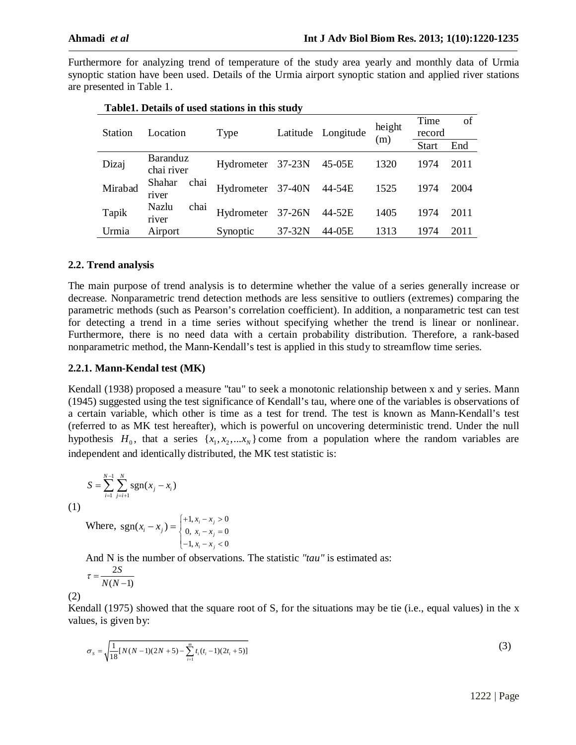Furthermore for analyzing trend of temperature of the study area yearly and monthly data of Urmia synoptic station have been used. Details of the Urmia airport synoptic station and applied river stations are presented in Table 1.

|                |                               | Type              |          | Latitude Longitude | height<br>(m) | Time         | of   |
|----------------|-------------------------------|-------------------|----------|--------------------|---------------|--------------|------|
| <b>Station</b> | Location                      |                   |          |                    |               | record       |      |
|                |                               |                   |          |                    |               | <b>Start</b> | End  |
| Dizaj          | <b>Baranduz</b><br>chai river | Hydrometer 37-23N |          | 45-05E             | 1320          | 1974         | 2011 |
| Mirabad        | chai<br>Shahar<br>river       | Hydrometer 37-40N |          | 44-54E             | 1525          | 1974         | 2004 |
| Tapik          | chai<br>Nazlu<br>river        | Hydrometer 37-26N |          | 44-52E             | 1405          | 1974         | 2011 |
| Urmia          | Airport                       | Synoptic          | $37-32N$ | 44-05E             | 1313          | 1974         | 2011 |

| Table1. Details of used stations in this study |
|------------------------------------------------|
|------------------------------------------------|

# **2.2. Trend analysis**

The main purpose of trend analysis is to determine whether the value of a series generally increase or decrease. Nonparametric trend detection methods are less sensitive to outliers (extremes) comparing the parametric methods (such as Pearson's correlation coefficient). In addition, a nonparametric test can test for detecting a trend in a time series without specifying whether the trend is linear or nonlinear. Furthermore, there is no need data with a certain probability distribution. Therefore, a rank-based nonparametric method, the Mann-Kendall's test is applied in this study to streamflow time series.

#### **2.2.1. Mann-Kendal test (MK)**

Kendall (1938) proposed a measure "tau" to seek a monotonic relationship between x and y series. Mann (1945) suggested using the test significance of Kendall's tau, where one of the variables is observations of a certain variable, which other is time as a test for trend. The test is known as Mann-Kendall's test (referred to as MK test hereafter), which is powerful on uncovering deterministic trend. Under the null hypothesis  $H_0$ , that a series  $\{x_1, x_2, \dots x_N\}$  come from a population where the random variables are independent and identically distributed, the MK test statistic is:

$$
S = \sum_{i=1}^{N-1} \sum_{j=i+1}^{N} \text{sgn}(x_j - x_i)
$$

(1)

Where, 
$$
sgn(x_i - x_j) = \begin{cases} +1, x_i - x_j > 0 \\ 0, x_i - x_j = 0 \\ -1, x_i - x_j < 0 \end{cases}
$$

And N is the number of observations. The statistic *"tau"* is estimated as:

$$
\tau = \frac{2S}{N(N-1)}
$$

(2)

Kendall (1975) showed that the square root of S, for the situations may be tie (i.e., equal values) in the x values, is given by:

$$
\sigma_s = \sqrt{\frac{1}{18} [N(N-1)(2N+5) - \sum_{i=1}^{m} t_i (t_i - 1)(2t_i + 5)]}
$$
\n(3)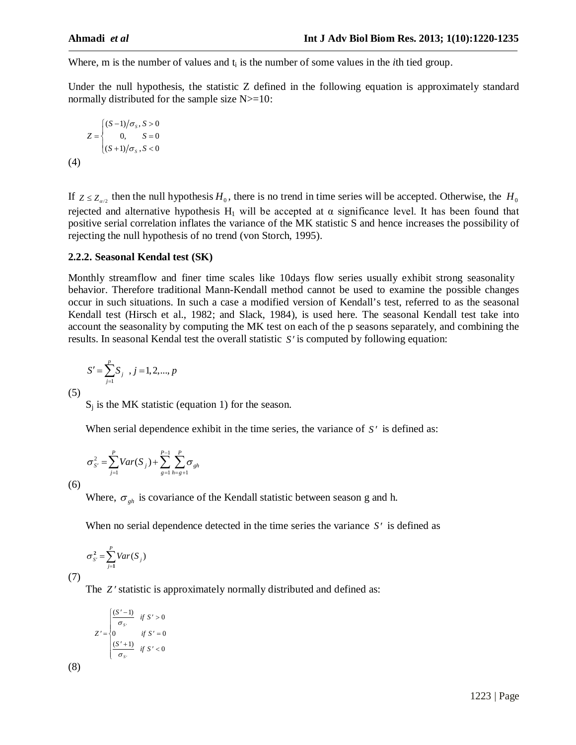Where, m is the number of values and  $t_i$  is the number of some values in the *i*th tied group.

Under the null hypothesis, the statistic Z defined in the following equation is approximately standard normally distributed for the sample size  $N>=10$ :

$$
Z = \begin{cases} (S-1)/\sigma_s, S > 0\\ 0, S = 0\\ (S+1)/\sigma_s, S < 0 \end{cases}
$$
  
(4)

If  $Z \le Z_{\alpha/2}$  then the null hypothesis  $H_0$ , there is no trend in time series will be accepted. Otherwise, the  $H_0$ rejected and alternative hypothesis  $H_1$  will be accepted at  $\alpha$  significance level. It has been found that positive serial correlation inflates the variance of the MK statistic S and hence increases the possibility of rejecting the null hypothesis of no trend (von Storch, 1995).

# **2.2.2. Seasonal Kendal test (SK)**

Monthly streamflow and finer time scales like 10days flow series usually exhibit strong seasonality behavior. Therefore traditional Mann-Kendall method cannot be used to examine the possible changes occur in such situations. In such a case a modified version of Kendall's test, referred to as the seasonal Kendall test (Hirsch et al., 1982; and Slack, 1984), is used here. The seasonal Kendall test take into account the seasonality by computing the MK test on each of the p seasons separately, and combining the results. In seasonal Kendal test the overall statistic *S* is computed by following equation:

$$
S' = \sum_{j=1}^{p} S_j, \, j = 1, 2, ..., p
$$

(5)

 $S_i$  is the MK statistic (equation 1) for the season.

When serial dependence exhibit in the time series, the variance of  $S'$  is defined as:

$$
\sigma_{S'}^2 = \sum_{j=1}^P Var(S_j) + \sum_{g=1}^{P-1} \sum_{h=g+1}^P \sigma_{gh}
$$

(6)

Where,  $\sigma_{gh}$  is covariance of the Kendall statistic between season g and h.

When no serial dependence detected in the time series the variance *S'* is defined as

$$
\sigma_{S'}^2 = \sum_{j=1}^P Var(S_j)
$$

(7)

(8)

The *Z*' statistic is approximately normally distributed and defined as:

$$
Z' = \begin{cases} \frac{(S'-1)}{\sigma_{s'}} & \text{if } s' > 0\\ 0 & \text{if } s' = 0\\ \frac{(S'+1)}{\sigma_{s'}} & \text{if } s' < 0 \end{cases}
$$

1223 | Page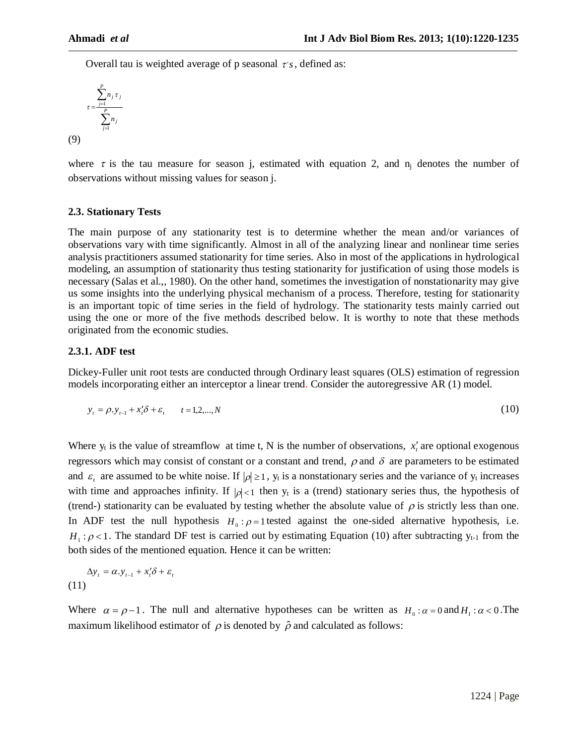Overall tau is weighted average of p seasonal  $\tau$ 's, defined as:

$$
\tau = \frac{\displaystyle\sum_{j=1}^P n_j \, \tau_j}{\displaystyle\sum_{j=1}^P n_j}
$$

(9)

where  $\tau$  is the tau measure for season j, estimated with equation 2, and  $n_i$  denotes the number of observations without missing values for season j.

# **2.3. Stationary Tests**

The main purpose of any stationarity test is to determine whether the mean and/or variances of observations vary with time significantly. Almost in all of the analyzing linear and nonlinear time series analysis practitioners assumed stationarity for time series. Also in most of the applications in hydrological modeling, an assumption of stationarity thus testing stationarity for justification of using those models is necessary (Salas et al.,, 1980). On the other hand, sometimes the investigation of nonstationarity may give us some insights into the underlying physical mechanism of a process. Therefore, testing for stationarity is an important topic of time series in the field of hydrology. The stationarity tests mainly carried out using the one or more of the five methods described below. It is worthy to note that these methods originated from the economic studies.

# **2.3.1. ADF test**

Dickey-Fuller unit root tests are conducted through Ordinary least squares (OLS) estimation of regression models incorporating either an interceptor a linear trend. Consider the autoregressive AR (1) model.

$$
y_{t} = \rho y_{t-1} + x_{t}' \delta + \varepsilon_{t} \qquad t = 1, 2, ..., N
$$
 (10)

Where  $y_t$  is the value of streamflow at time t, N is the number of observations,  $x'_t$  are optional exogenous regressors which may consist of constant or a constant and trend,  $\rho$  and  $\delta$  are parameters to be estimated and  $\varepsilon_t$  are assumed to be white noise. If  $|\rho| \ge 1$ ,  $y_t$  is a nonstationary series and the variance of  $y_t$  increases with time and approaches infinity. If  $|\rho| < 1$  then y<sub>t</sub> is a (trend) stationary series thus, the hypothesis of (trend-) stationarity can be evaluated by testing whether the absolute value of  $\rho$  is strictly less than one. In ADF test the null hypothesis  $H_0: \rho = 1$  tested against the one-sided alternative hypothesis, i.e.  $H_1$ :  $\rho$  < 1. The standard DF test is carried out by estimating Equation (10) after subtracting  $y_{t-1}$  from the both sides of the mentioned equation. Hence it can be written:

$$
\Delta y_t = \alpha \cdot y_{t-1} + x_t' \delta + \varepsilon_t
$$
\n(11)

Where  $\alpha = \rho - 1$ . The null and alternative hypotheses can be written as  $H_0: \alpha = 0$  and  $H_1: \alpha < 0$ . The maximum likelihood estimator of  $\rho$  is denoted by  $\hat{\rho}$  and calculated as follows: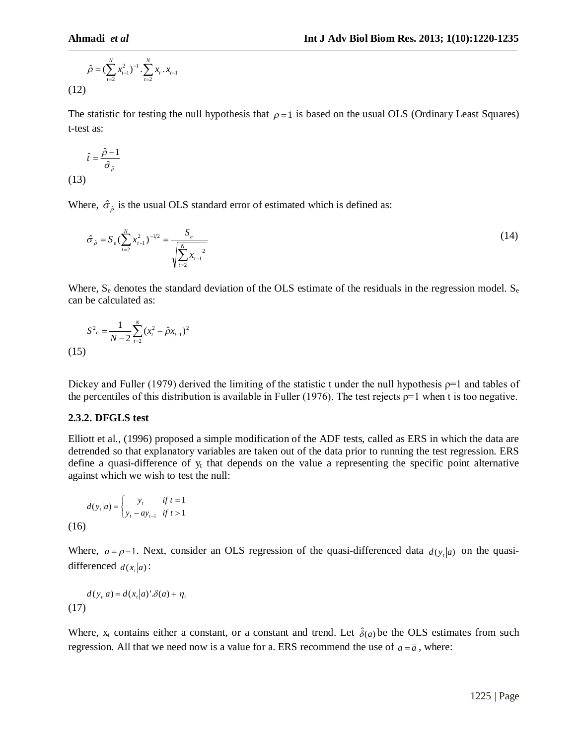$$
\hat{\rho} = (\sum_{t=2}^{N} x_{t-1}^2)^{-1} \cdot \sum_{t=2}^{N} x_t \cdot x_{t-1}
$$
\n(12)

The statistic for testing the null hypothesis that  $\rho = 1$  is based on the usual OLS (Ordinary Least Squares) t-test as:

$$
\hat{t} = \frac{\hat{\rho} - 1}{\hat{\sigma}_{\hat{\rho}}}
$$
\n(13)

Where,  $\hat{\sigma}_{\hat{\rho}}$  is the usual OLS standard error of estimated which is defined as:

$$
\hat{\sigma}_{\hat{\rho}} = S_e \left( \sum_{t=2}^N x_{t-1}^2 \right)^{-1/2} = \frac{S_e}{\sqrt{\sum_{t=2}^N x_{t-1}^2}}
$$
(14)

Where,  $S_e$  denotes the standard deviation of the OLS estimate of the residuals in the regression model.  $S_e$ can be calculated as:

$$
S^2_e = \frac{1}{N-2} \sum_{t=2}^{N} (x_t^2 - \hat{\rho} x_{t-1})^2
$$
\n(15)

Dickey and Fuller (1979) derived the limiting of the statistic t under the null hypothesis  $p=1$  and tables of the percentiles of this distribution is available in Fuller (1976). The test rejects  $p=1$  when t is too negative.

#### **2.3.2. DFGLS test**

Elliott et al., (1996) proposed a simple modification of the ADF tests, called as ERS in which the data are detrended so that explanatory variables are taken out of the data prior to running the test regression. ERS define a quasi-difference of  $y_t$  that depends on the value a representing the specific point alternative against which we wish to test the null:

$$
d(y_t|a) = \begin{cases} y_t & \text{if } t = 1 \\ y_t - ay_{t-1} & \text{if } t > 1 \end{cases}
$$
  
(16)

Where,  $a = \rho - 1$ . Next, consider an OLS regression of the quasi-differenced data  $d(y_t|a)$  on the quasidifferenced  $d(x_t|a)$ :

$$
d(y_t|a) = d(x_t|a)' \delta(a) + \eta_t
$$
\n(17)

Where,  $x_t$  contains either a constant, or a constant and trend. Let  $\hat{\delta}(a)$  be the OLS estimates from such regression. All that we need now is a value for a. ERS recommend the use of  $a = \overline{a}$ , where: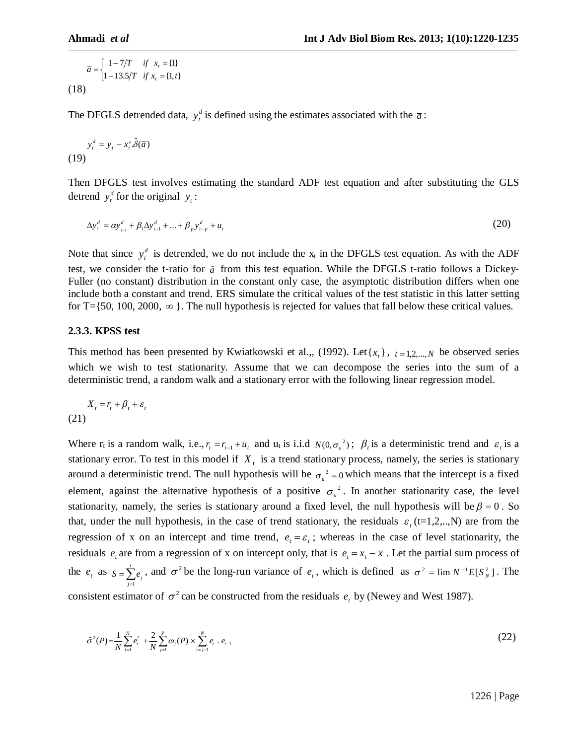$$
\overline{a} = \begin{cases}\n1 - 7/T & \text{if } x_t = \{1\} \\
1 - 13.5/T & \text{if } x_t = \{1, t\} \n\end{cases}
$$
\n(18)

The DFGLS detrended data,  $y_t^d$  is defined using the estimates associated with the  $\bar{a}$ :

$$
y_t^d = y_t - x_t \cdot \hat{\delta}(\overline{a})
$$
  
(19)

Then DFGLS test involves estimating the standard ADF test equation and after substituting the GLS detrend  $y_t^d$  for the original  $y_t$ :

$$
\Delta y_t^d = \alpha y_{t-1}^d + \beta_1 \Delta y_{t-1}^d + \dots + \beta_p y_{t-p}^d + u_t
$$
\n(20)

Note that since  $y_t^d$  is detrended, we do not include the  $x_t$  in the DFGLS test equation. As with the ADF test, we consider the t-ratio for  $\hat{a}$  from this test equation. While the DFGLS t-ratio follows a Dickey-Fuller (no constant) distribution in the constant only case, the asymptotic distribution differs when one include both a constant and trend. ERS simulate the critical values of the test statistic in this latter setting for T={50, 100, 2000,  $\infty$ }. The null hypothesis is rejected for values that fall below these critical values.

#### **2.3.3. KPSS test**

This method has been presented by Kwiatkowski et al.,, (1992). Let  $\{x_t\}$ ,  $t = 1, 2, ..., N$  be observed series which we wish to test stationarity. Assume that we can decompose the series into the sum of a deterministic trend, a random walk and a stationary error with the following linear regression model.

 $X_t = r_t + \beta_t + \varepsilon_t$ (21)

Where  $r_t$  is a random walk, i.e.,  $r_t = r_{t-1} + u_t$  and  $u_t$  is i.i.d  $N(0, \sigma_u^2)$ ;  $\beta_t$  is a deterministic trend and  $\varepsilon_t$  is a stationary error. To test in this model if  $X_t$  is a trend stationary process, namely, the series is stationary around a deterministic trend. The null hypothesis will be  $\sigma_u^2 = 0$  which means that the intercept is a fixed element, against the alternative hypothesis of a positive  $\sigma_u^2$ . In another stationarity case, the level stationarity, namely, the series is stationary around a fixed level, the null hypothesis will be  $\beta = 0$ . So that, under the null hypothesis, in the case of trend stationary, the residuals  $\varepsilon$ <sub>i</sub> (t=1,2,..,N) are from the regression of x on an intercept and time trend,  $e_t = \varepsilon_t$ ; whereas in the case of level stationarity, the residuals  $e_t$  are from a regression of x on intercept only, that is  $e_t = x_t - \overline{x}$ . Let the partial sum process of the  $e_t$  as 1 *t*  $\sum_{j=1}^{\mathbf{C}}$  *j*  $S = \sum e_i$  $=\sum_{j=1}^{r} e_j$ , and  $\sigma^2$  be the long-run variance of  $e_t$ , which is defined as  $\sigma^2 = \lim N^{-1} E[S_N^2]$ . The consistent estimator of  $\sigma^2$  can be constructed from the residuals  $e_t$  by (Newey and West 1987).

$$
\hat{\sigma}^2(P) = \frac{1}{N} \sum_{t=1}^N e_t^2 + \frac{2}{N} \sum_{j=1}^P \omega_j(P) \times \sum_{t=j+1}^N e_t \cdot e_{t-1}
$$
\n(22)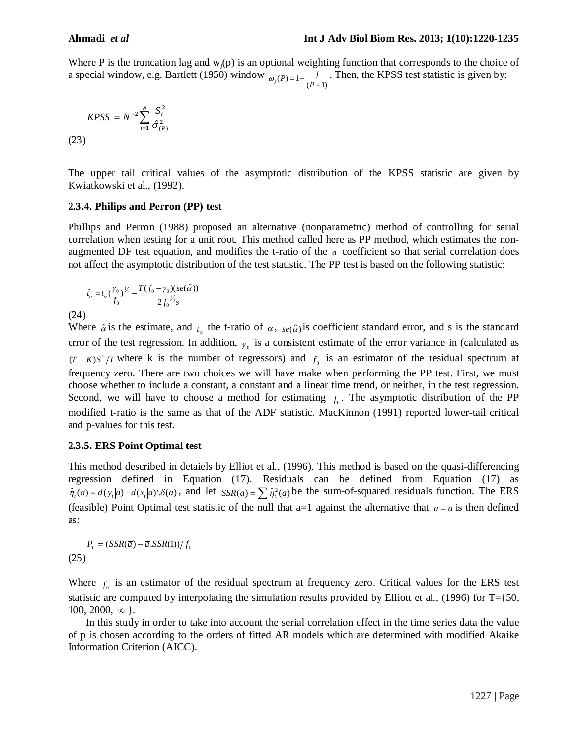Where P is the truncation lag and  $w_i(p)$  is an optional weighting function that corresponds to the choice of a special window, e.g. Bartlett (1950) window  $\omega_j(P) = 1 - \frac{j}{(P+1)}$  $\omega_j(P) = 1 - \frac{j}{(P + 1)}$ . Then, the KPSS test statistic is given by:

$$
KPSS = N^{-2} \sum_{t=1}^{N} \frac{S_t^2}{\hat{\sigma}_{(P)}^2}
$$
\n(23)

The upper tail critical values of the asymptotic distribution of the KPSS statistic are given by Kwiatkowski et al., (1992).

# **2.3.4. Philips and Perron (PP) test**

Phillips and Perron (1988) proposed an alternative (nonparametric) method of controlling for serial correlation when testing for a unit root. This method called here as PP method, which estimates the nonaugmented DF test equation, and modifies the t-ratio of the *a* coefficient so that serial correlation does not affect the asymptotic distribution of the test statistic. The PP test is based on the following statistic:

$$
\hat{t}_{\alpha} = t_{\alpha} \left(\frac{\gamma_0}{f_0}\right)^{\frac{1}{\gamma_2}} - \frac{T(f_0 - \gamma_0)(se(\hat{\alpha}))}{2f_0^{\frac{1}{\gamma_2}}s}
$$

(24)

Where  $\hat{\alpha}$  is the estimate, and  $t_{\alpha}$  the t-ratio of  $\alpha$ ,  $se(\hat{\alpha})$  is coefficient standard error, and s is the standard error of the test regression. In addition,  $\gamma_0$  is a consistent estimate of the error variance in (calculated as  $(T - K)S^2/T$  where k is the number of regressors) and  $f_0$  is an estimator of the residual spectrum at frequency zero. There are two choices we will have make when performing the PP test. First, we must choose whether to include a constant, a constant and a linear time trend, or neither, in the test regression. Second, we will have to choose a method for estimating  $f_0$ . The asymptotic distribution of the PP modified t-ratio is the same as that of the ADF statistic. MacKinnon (1991) reported lower-tail critical and p-values for this test.

# **2.3.5. ERS Point Optimal test**

This method described in detaiels by Elliot et al., (1996). This method is based on the quasi-differencing regression defined in Equation (17). Residuals can be defined from Equation (17) as  $\hat{\eta}_t(a) = d(y_t|a) - d(x_t|a)' \delta(a)$ , and let  $SSR(a) = \sum \hat{\eta}_t^2(a)$  be the sum-of-squared residuals function. The ERS (feasible) Point Optimal test statistic of the null that  $a=1$  against the alternative that  $a = \overline{a}$  is then defined as:

 $P_T = \frac{(SSR(\overline{a}) - \overline{a}.SSR(1))}{f_0}$ (25)

Where  $f_0$  is an estimator of the residual spectrum at frequency zero. Critical values for the ERS test statistic are computed by interpolating the simulation results provided by Elliott et al., (1996) for T={50,  $100, 2000, \infty$ .

In this study in order to take into account the serial correlation effect in the time series data the value of p is chosen according to the orders of fitted AR models which are determined with modified Akaike Information Criterion (AICC).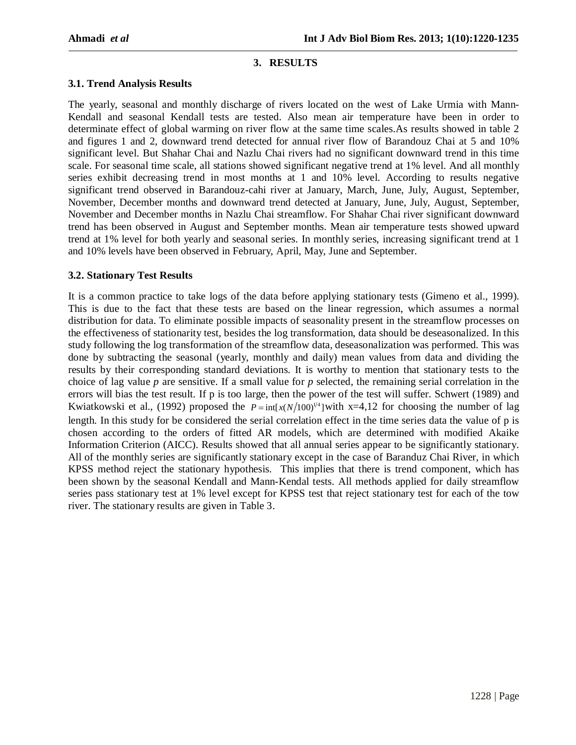# **3. RESULTS**

## **3.1. Trend Analysis Results**

The yearly, seasonal and monthly discharge of rivers located on the west of Lake Urmia with Mann-Kendall and seasonal Kendall tests are tested. Also mean air temperature have been in order to determinate effect of global warming on river flow at the same time scales.As results showed in table 2 and figures 1 and 2, downward trend detected for annual river flow of Barandouz Chai at 5 and 10% significant level. But Shahar Chai and Nazlu Chai rivers had no significant downward trend in this time scale. For seasonal time scale, all stations showed significant negative trend at 1% level. And all monthly series exhibit decreasing trend in most months at 1 and 10% level. According to results negative significant trend observed in Barandouz-cahi river at January, March, June, July, August, September, November, December months and downward trend detected at January, June, July, August, September, November and December months in Nazlu Chai streamflow. For Shahar Chai river significant downward trend has been observed in August and September months. Mean air temperature tests showed upward trend at 1% level for both yearly and seasonal series. In monthly series, increasing significant trend at 1 and 10% levels have been observed in February, April, May, June and September.

# **3.2. Stationary Test Results**

It is a common practice to take logs of the data before applying stationary tests (Gimeno et al., 1999). This is due to the fact that these tests are based on the linear regression, which assumes a normal distribution for data. To eliminate possible impacts of seasonality present in the streamflow processes on the effectiveness of stationarity test, besides the log transformation, data should be deseasonalized. In this study following the log transformation of the streamflow data, deseasonalization was performed. This was done by subtracting the seasonal (yearly, monthly and daily) mean values from data and dividing the results by their corresponding standard deviations. It is worthy to mention that stationary tests to the choice of lag value *p* are sensitive. If a small value for *p* selected, the remaining serial correlation in the errors will bias the test result. If p is too large, then the power of the test will suffer. Schwert (1989) and Kwiatkowski et al., (1992) proposed the  $P = \inf_{x \in N} (N/100)^{1/4}$  with x=4,12 for choosing the number of lag length. In this study for be considered the serial correlation effect in the time series data the value of p is chosen according to the orders of fitted AR models, which are determined with modified Akaike Information Criterion (AICC). Results showed that all annual series appear to be significantly stationary. All of the monthly series are significantly stationary except in the case of Baranduz Chai River, in which KPSS method reject the stationary hypothesis. This implies that there is trend component, which has been shown by the seasonal Kendall and Mann-Kendal tests. All methods applied for daily streamflow series pass stationary test at 1% level except for KPSS test that reject stationary test for each of the tow river. The stationary results are given in Table 3.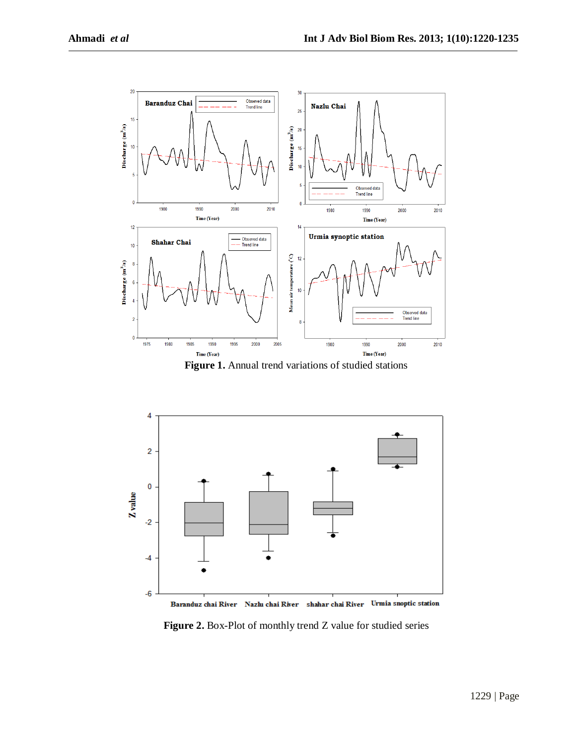

Figure 1. Annual trend variations of studied stations



Baranduz chai River Nazlu chai River shahar chai River Urmia snoptic station

**Figure 2.** Box-Plot of monthly trend Z value for studied series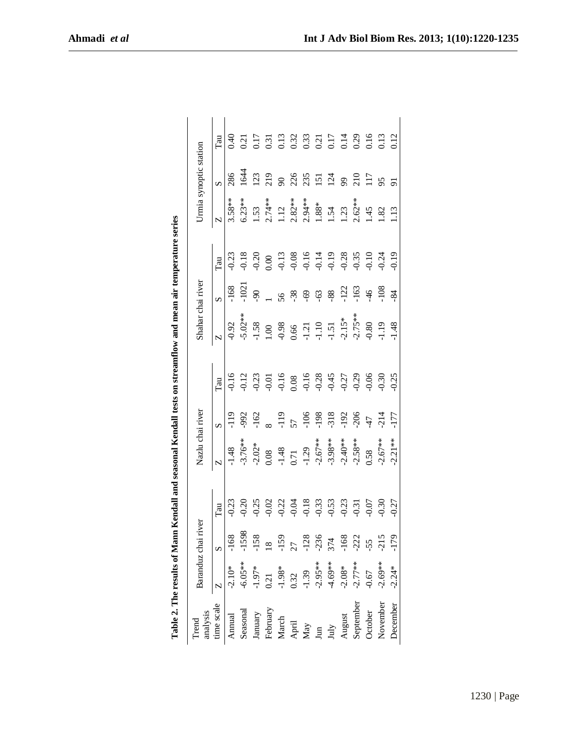| ׇ֚֘                            |
|--------------------------------|
|                                |
| are one concern of the con-    |
| .<br>.<br>.                    |
|                                |
|                                |
|                                |
| i                              |
| ì                              |
| i                              |
|                                |
| İ<br>Ì<br>$\ddot{\phantom{a}}$ |
| T.<br>F<br>i                   |

| Trend<br>analysis<br>imascale<br>Amual<br>Assemal<br>Behruary<br>Raby<br>Angust<br>August<br>August<br>August<br>August<br>August<br>August<br>August<br>August<br>August<br>August<br>August<br>August<br>August<br>August<br>August<br>August<br>August<br>August<br>August<br>August<br>August<br>August<br>August<br>Au | Baranduz chai ri                                                                                                                                                                                                                                                                                                        | ver |                                                                                              | Nazlu chai river                    |                 |                                                     | Shahar chai river             |        |                                                                |                    | Jrmia synoptic station                                             |      |
|-----------------------------------------------------------------------------------------------------------------------------------------------------------------------------------------------------------------------------------------------------------------------------------------------------------------------------|-------------------------------------------------------------------------------------------------------------------------------------------------------------------------------------------------------------------------------------------------------------------------------------------------------------------------|-----|----------------------------------------------------------------------------------------------|-------------------------------------|-----------------|-----------------------------------------------------|-------------------------------|--------|----------------------------------------------------------------|--------------------|--------------------------------------------------------------------|------|
|                                                                                                                                                                                                                                                                                                                             | $\begin{array}{r rrrr}\n & 8 & 8 & 10^8 & -168 \\ -2.10^* & -1598 & -1598 & -1598 \\ -1.97^* & -158 & -158 & -159 \\ -1.98^* & -158 & -128 & -128 \\ -1.39 & 1.39 & -128 & -168 \\ -2.95^{**} & 374 & -168 & -2.08^* \\ -2.69^{**} & 374 & -168 & -2.08^* \\ -1.69 & 168 & -168 & -168 & -168 \\ -1.67 & 169 & 168 & -$ |     | Гau                                                                                          |                                     |                 |                                                     |                               |        |                                                                |                    |                                                                    | Tau  |
|                                                                                                                                                                                                                                                                                                                             |                                                                                                                                                                                                                                                                                                                         |     | 0.23                                                                                         | $-1.48$                             |                 |                                                     | $-0.92$                       | 168    | 0.23                                                           | $3.58***$          | 286                                                                | 9.40 |
|                                                                                                                                                                                                                                                                                                                             |                                                                                                                                                                                                                                                                                                                         |     |                                                                                              | $-3.76**$                           | 566.            |                                                     | $-5.02**$                     |        | 0.18                                                           | $5.23**$           | <u>र्वे</u>                                                        | 0.21 |
|                                                                                                                                                                                                                                                                                                                             |                                                                                                                                                                                                                                                                                                                         |     | 0.21<br>0.25<br>0.02                                                                         | $-2.02*$                            | $-162$          | 0.23                                                | $-1.58$                       |        | 0.20                                                           | 1.53               | 123                                                                |      |
|                                                                                                                                                                                                                                                                                                                             |                                                                                                                                                                                                                                                                                                                         |     |                                                                                              | 0.08                                |                 | 0.01                                                | 00.1                          |        | 0.00                                                           | $2.74**$           | 219                                                                |      |
|                                                                                                                                                                                                                                                                                                                             |                                                                                                                                                                                                                                                                                                                         |     | 0.22                                                                                         |                                     | $-119$          | $-0.16$                                             | $-0.98$<br>0.66               | 56     |                                                                | 112                | $\mathcal{S}$                                                      |      |
|                                                                                                                                                                                                                                                                                                                             |                                                                                                                                                                                                                                                                                                                         |     | 6.04                                                                                         | $-1.48$<br>0.71<br>-1.29<br>-2.67** |                 | 0.08                                                |                               | $-38$  |                                                                | $2.82**$           |                                                                    |      |
|                                                                                                                                                                                                                                                                                                                             |                                                                                                                                                                                                                                                                                                                         |     |                                                                                              |                                     | $-106$          |                                                     | $-1.21$<br>$-1.10$<br>$-1.51$ | -69    |                                                                | $2.94***$<br>1.88* |                                                                    |      |
|                                                                                                                                                                                                                                                                                                                             |                                                                                                                                                                                                                                                                                                                         |     |                                                                                              |                                     | $-198$          |                                                     |                               | $-63$  |                                                                |                    |                                                                    |      |
|                                                                                                                                                                                                                                                                                                                             |                                                                                                                                                                                                                                                                                                                         |     | $\begin{array}{c} 18 \\ 0.33 \\ 0.53 \\ 0.63 \\ 0.23 \\ 0.07 \\ 0.07 \\ 0.07 \\ \end{array}$ | $-3.98**$                           | $-318$          | $-0.16$<br>$-0.28$<br>$-0.27$<br>$-0.27$<br>$-0.29$ |                               | $-88-$ | $-0.13$<br>$-0.08$<br>$-0.14$<br>$-0.19$<br>$-0.38$<br>$-0.35$ | 1.54<br>1.23       | $25.5$ $\overline{5}$ $\overline{2}$ $\overline{5}$ $\overline{9}$ |      |
|                                                                                                                                                                                                                                                                                                                             |                                                                                                                                                                                                                                                                                                                         |     |                                                                                              | $-2.40***$                          | $-192$          |                                                     | $-2.15**$<br>$-2.75***$       | $-122$ |                                                                |                    |                                                                    |      |
|                                                                                                                                                                                                                                                                                                                             |                                                                                                                                                                                                                                                                                                                         |     |                                                                                              | $-2.58**$                           | $-206$          |                                                     |                               | -163   |                                                                | $2.62**$           | 210                                                                |      |
|                                                                                                                                                                                                                                                                                                                             |                                                                                                                                                                                                                                                                                                                         |     |                                                                                              | 0.58                                | $\overline{47}$ | 0.06                                                | $0.80\,$                      | $-46$  | 0.10                                                           | 1.45               | 117                                                                |      |
|                                                                                                                                                                                                                                                                                                                             |                                                                                                                                                                                                                                                                                                                         |     | 0.30                                                                                         | $-2.67**$                           | .214            |                                                     | 1.19                          | $-108$ | 0.24                                                           | .82                | 95                                                                 |      |
| December                                                                                                                                                                                                                                                                                                                    |                                                                                                                                                                                                                                                                                                                         |     | 0.27                                                                                         | $-2.21**$                           | 177             | 0.25                                                | 1.48                          | $-84$  | 0.19                                                           | 1.13               |                                                                    |      |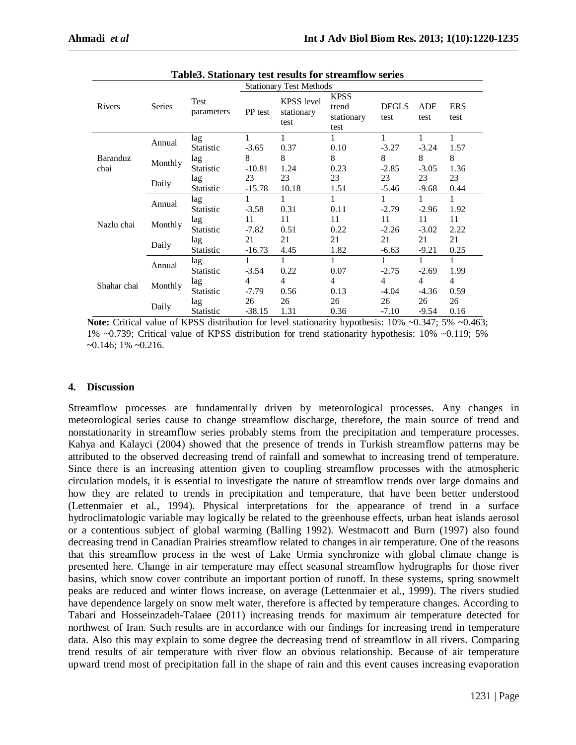| Table3. Stationary test results for streamflow series |         |                    |                                |                                         |                                            |                      |             |                    |  |
|-------------------------------------------------------|---------|--------------------|--------------------------------|-----------------------------------------|--------------------------------------------|----------------------|-------------|--------------------|--|
|                                                       |         |                    | <b>Stationary Test Methods</b> |                                         |                                            |                      |             |                    |  |
| Rivers                                                | Series  | Test<br>parameters | PP test                        | <b>KPSS</b> level<br>stationary<br>test | <b>KPSS</b><br>trend<br>stationary<br>test | <b>DFGLS</b><br>test | ADF<br>test | <b>ERS</b><br>test |  |
| Baranduz<br>chai                                      | Annual  | lag                | 1                              | 1                                       | 1                                          | 1                    | 1           | 1                  |  |
|                                                       |         | Statistic          | $-3.65$                        | 0.37                                    | 0.10                                       | $-3.27$              | $-3.24$     | 1.57               |  |
|                                                       |         | lag                | 8                              | 8                                       | 8                                          | 8                    | 8           | 8                  |  |
|                                                       | Monthly | Statistic          | $-10.81$                       | 1.24                                    | 0.23                                       | $-2.85$              | $-3.05$     | 1.36               |  |
|                                                       | Daily   | lag                | 23                             | 23                                      | 23                                         | 23                   | 23          | 23                 |  |
|                                                       |         | Statistic          | $-15.78$                       | 10.18                                   | 1.51                                       | $-5.46$              | $-9.68$     | 0.44               |  |
|                                                       | Annual  | lag                | 1                              |                                         | 1                                          | 1                    |             |                    |  |
| Nazlu chai                                            |         | Statistic          | $-3.58$                        | 0.31                                    | 0.11                                       | $-2.79$              | $-2.96$     | 1.92               |  |
|                                                       | Monthly | lag                | 11                             | 11                                      | 11                                         | 11                   | 11          | 11                 |  |
|                                                       |         | Statistic          | $-7.82$                        | 0.51                                    | 0.22                                       | $-2.26$              | $-3.02$     | 2.22               |  |
|                                                       | Daily   | lag                | 21                             | 21                                      | 21                                         | 21                   | 21          | 21                 |  |
|                                                       |         | Statistic          | $-16.73$                       | 4.45                                    | 1.82                                       | $-6.63$              | $-9.21$     | 0.25               |  |
| Shahar chai                                           | Annual  | lag                | 1                              | 1                                       | 1                                          | 1                    | 1           | 1                  |  |
|                                                       |         | Statistic          | $-3.54$                        | 0.22                                    | 0.07                                       | $-2.75$              | $-2.69$     | 1.99               |  |
|                                                       | Monthly | lag                | 4                              | 4                                       | 4                                          | 4                    | 4           | 4                  |  |
|                                                       |         | Statistic          | -7.79                          | 0.56                                    | 0.13                                       | $-4.04$              | $-4.36$     | 0.59               |  |
|                                                       | Daily   | lag                | 26                             | 26                                      | 26                                         | 26                   | 26          | 26                 |  |
|                                                       |         | Statistic          | $-38.15$                       | 1.31                                    | 0.36                                       | $-7.10$              | $-9.54$     | 0.16               |  |

**Note:** Critical value of KPSS distribution for level stationarity hypothesis:  $10\%$  ~0.347; 5% ~0.463; 1% ~0.739; Critical value of KPSS distribution for trend stationarity hypothesis: 10% ~0.119; 5%  $\sim 0.146$ ; 1%  $\sim 0.216$ .

#### **4. Discussion**

Streamflow processes are fundamentally driven by meteorological processes. Any changes in meteorological series cause to change streamflow discharge, therefore, the main source of trend and nonstationarity in streamflow series probably stems from the precipitation and temperature processes. Kahya and Kalayci (2004) showed that the presence of trends in Turkish streamflow patterns may be attributed to the observed decreasing trend of rainfall and somewhat to increasing trend of temperature. Since there is an increasing attention given to coupling streamflow processes with the atmospheric circulation models, it is essential to investigate the nature of streamflow trends over large domains and how they are related to trends in precipitation and temperature, that have been better understood (Lettenmaier et al., 1994). Physical interpretations for the appearance of trend in a surface hydroclimatologic variable may logically be related to the greenhouse effects, urban heat islands aerosol or a contentious subject of global warming (Balling 1992). Westmacott and Burn (1997) also found decreasing trend in Canadian Prairies streamflow related to changes in air temperature. One of the reasons that this streamflow process in the west of Lake Urmia synchronize with global climate change is presented here. Change in air temperature may effect seasonal streamflow hydrographs for those river basins, which snow cover contribute an important portion of runoff. In these systems, spring snowmelt peaks are reduced and winter flows increase, on average (Lettenmaier et al., 1999). The rivers studied have dependence largely on snow melt water, therefore is affected by temperature changes. According to Tabari and Hosseinzadeh-Talaee (2011) increasing trends for maximum air temperature detected for northwest of Iran. Such results are in accordance with our findings for increasing trend in temperature data. Also this may explain to some degree the decreasing trend of streamflow in all rivers. Comparing trend results of air temperature with river flow an obvious relationship. Because of air temperature upward trend most of precipitation fall in the shape of rain and this event causes increasing evaporation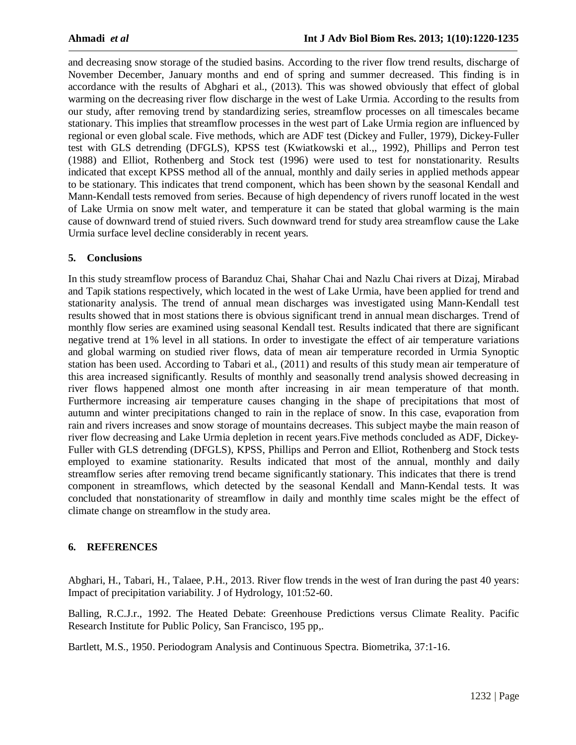and decreasing snow storage of the studied basins. According to the river flow trend results, discharge of November December, January months and end of spring and summer decreased. This finding is in accordance with the results of Abghari et al., (2013). This was showed obviously that effect of global warming on the decreasing river flow discharge in the west of Lake Urmia. According to the results from our study, after removing trend by standardizing series, streamflow processes on all timescales became stationary. This implies that streamflow processes in the west part of Lake Urmia region are influenced by regional or even global scale. Five methods, which are ADF test (Dickey and Fuller, 1979), Dickey-Fuller test with GLS detrending (DFGLS), KPSS test (Kwiatkowski et al.,, 1992), Phillips and Perron test (1988) and Elliot, Rothenberg and Stock test (1996) were used to test for nonstationarity. Results indicated that except KPSS method all of the annual, monthly and daily series in applied methods appear to be stationary. This indicates that trend component, which has been shown by the seasonal Kendall and Mann-Kendall tests removed from series. Because of high dependency of rivers runoff located in the west of Lake Urmia on snow melt water, and temperature it can be stated that global warming is the main cause of downward trend of stuied rivers. Such downward trend for study area streamflow cause the Lake Urmia surface level decline considerably in recent years.

# **5. Conclusions**

In this study streamflow process of Baranduz Chai, Shahar Chai and Nazlu Chai rivers at Dizaj, Mirabad and Tapik stations respectively, which located in the west of Lake Urmia, have been applied for trend and stationarity analysis. The trend of annual mean discharges was investigated using Mann-Kendall test results showed that in most stations there is obvious significant trend in annual mean discharges. Trend of monthly flow series are examined using seasonal Kendall test. Results indicated that there are significant negative trend at 1% level in all stations. In order to investigate the effect of air temperature variations and global warming on studied river flows, data of mean air temperature recorded in Urmia Synoptic station has been used. According to Tabari et al., (2011) and results of this study mean air temperature of this area increased significantly. Results of monthly and seasonally trend analysis showed decreasing in river flows happened almost one month after increasing in air mean temperature of that month. Furthermore increasing air temperature causes changing in the shape of precipitations that most of autumn and winter precipitations changed to rain in the replace of snow. In this case, evaporation from rain and rivers increases and snow storage of mountains decreases. This subject maybe the main reason of river flow decreasing and Lake Urmia depletion in recent years.Five methods concluded as ADF, Dickey-Fuller with GLS detrending (DFGLS), KPSS, Phillips and Perron and Elliot, Rothenberg and Stock tests employed to examine stationarity. Results indicated that most of the annual, monthly and daily streamflow series after removing trend became significantly stationary. This indicates that there is trend component in streamflows, which detected by the seasonal Kendall and Mann-Kendal tests. It was concluded that nonstationarity of streamflow in daily and monthly time scales might be the effect of climate change on streamflow in the study area.

#### **6. REF**E**RENCES**

Abghari, H., Tabari, H., Talaee, P.H., 2013. River flow trends in the west of Iran during the past 40 years: Impact of precipitation variability. J of Hydrology, 101:52-60.

Balling, R.C.J.r., 1992. The Heated Debate: Greenhouse Predictions versus Climate Reality. Pacific Research Institute for Public Policy, San Francisco, 195 pp,.

Bartlett, M.S., 1950. Periodogram Analysis and Continuous Spectra. Biometrika, 37:1-16.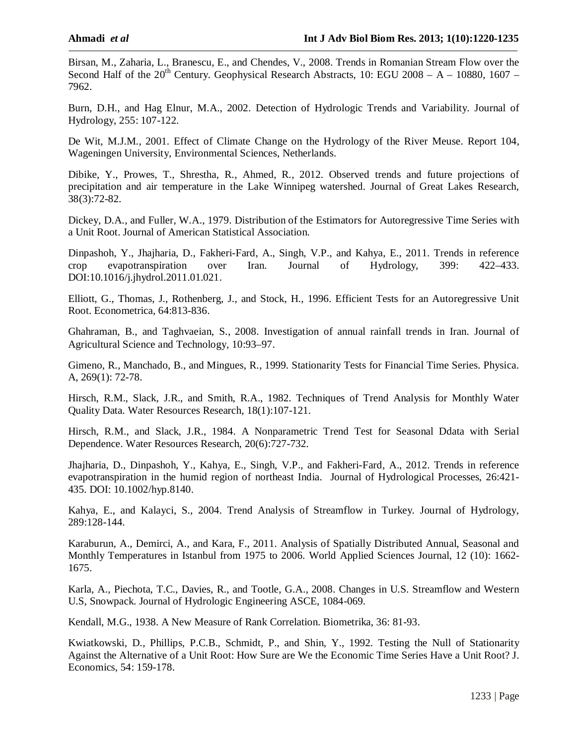Birsan, M., Zaharia, L., Branescu, E., and Chendes, V., 2008. Trends in Romanian Stream Flow over the Second Half of the  $20^{th}$  Century. Geophysical Research Abstracts, 10: EGU 2008 – A – 10880, 1607 – 7962.

Burn, D.H., and Hag Elnur, M.A., 2002. Detection of Hydrologic Trends and Variability. Journal of Hydrology, 255: 107-122.

De Wit, M.J.M., 2001. Effect of Climate Change on the Hydrology of the River Meuse. Report 104, Wageningen University, Environmental Sciences, Netherlands.

Dibike, Y., Prowes, T., Shrestha, R., Ahmed, R., 2012. Observed trends and future projections of precipitation and air temperature in the Lake Winnipeg watershed. Journal of Great Lakes Research, 38(3):72-82.

Dickey, D.A., and Fuller, W.A., 1979. Distribution of the Estimators for Autoregressive Time Series with a Unit Root. Journal of American Statistical Association.

Dinpashoh, Y., Jhajharia, D., Fakheri-Fard, A., Singh, V.P., and Kahya, E., 2011. Trends in reference crop evapotranspiration over Iran. Journal of Hydrology, 399: 422–433. DOI:10.1016/j.jhydrol.2011.01.021.

Elliott, G., Thomas, J., Rothenberg, J., and Stock, H., 1996. Efficient Tests for an Autoregressive Unit Root. Econometrica, 64:813-836.

Ghahraman, B., and Taghvaeian, S., 2008. Investigation of annual rainfall trends in Iran. Journal of Agricultural Science and Technology, 10:93–97.

Gimeno, R., Manchado, B., and Mingues, R., 1999. Stationarity Tests for Financial Time Series. Physica. A, 269(1): 72-78.

Hirsch, R.M., Slack, J.R., and Smith, R.A., 1982. Techniques of Trend Analysis for Monthly Water Quality Data. Water Resources Research, 18(1):107-121.

Hirsch, R.M., and Slack, J.R., 1984. A Nonparametric Trend Test for Seasonal Ddata with Serial Dependence. Water Resources Research, 20(6):727-732.

Jhajharia, D., Dinpashoh, Y., Kahya, E., Singh, V.P., and Fakheri-Fard, A., 2012. Trends in reference evapotranspiration in the humid region of northeast India. Journal of Hydrological Processes, 26:421- 435. DOI: 10.1002/hyp.8140.

Kahya, E., and Kalayci, S., 2004. Trend Analysis of Streamflow in Turkey. Journal of Hydrology, 289:128-144.

Karaburun, A., Demirci, A., and Kara, F., 2011. Analysis of Spatially Distributed Annual, Seasonal and Monthly Temperatures in Istanbul from 1975 to 2006. World Applied Sciences Journal, 12 (10): 1662- 1675.

Karla, A., Piechota, T.C., Davies, R., and Tootle, G.A., 2008. Changes in U.S. Streamflow and Western U.S, Snowpack. Journal of Hydrologic Engineering ASCE, 1084-069.

Kendall, M.G., 1938. A New Measure of Rank Correlation. Biometrika, 36: 81-93.

Kwiatkowski, D., Phillips, P.C.B., Schmidt, P., and Shin, Y., 1992. Testing the Null of Stationarity Against the Alternative of a Unit Root: How Sure are We the Economic Time Series Have a Unit Root? J. Economics, 54: 159-178.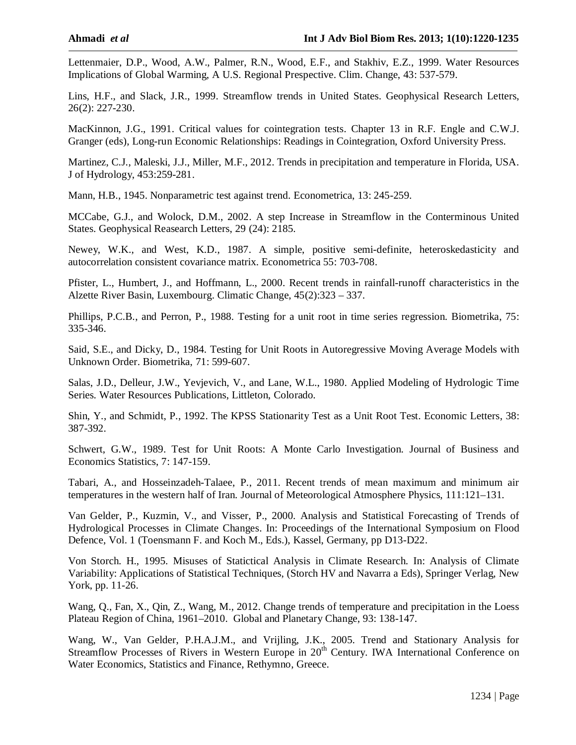Lettenmaier, D.P., Wood, A.W., Palmer, R.N., Wood, E.F., and Stakhiv, E.Z., 1999. Water Resources Implications of Global Warming, A U.S. Regional Prespective. Clim. Change, 43: 537-579.

Lins, H.F., and Slack, J.R., 1999. Streamflow trends in United States. Geophysical Research Letters, 26(2): 227-230.

MacKinnon, J.G., 1991. Critical values for cointegration tests. Chapter 13 in R.F. Engle and C.W.J. Granger (eds), Long-run Economic Relationships: Readings in Cointegration, Oxford University Press.

Martinez, C.J., Maleski, J.J., Miller, M.F., 2012. Trends in precipitation and temperature in Florida, USA. J of Hydrology, 453:259-281.

Mann, H.B., 1945. Nonparametric test against trend. Econometrica, 13: 245-259.

MCCabe, G.J., and Wolock, D.M., 2002. A step Increase in Streamflow in the Conterminous United States. Geophysical Reasearch Letters, 29 (24): 2185.

Newey, W.K., and West, K.D., 1987. A simple, positive semi-definite, heteroskedasticity and autocorrelation consistent covariance matrix. Econometrica 55: 703-708.

Pfister, L., Humbert, J., and Hoffmann, L., 2000. Recent trends in rainfall-runoff characteristics in the Alzette River Basin, Luxembourg. Climatic Change, 45(2):323 – 337.

Phillips, P.C.B., and Perron, P., 1988. Testing for a unit root in time series regression. Biometrika, 75: 335-346.

Said, S.E., and Dicky, D., 1984. Testing for Unit Roots in Autoregressive Moving Average Models with Unknown Order. Biometrika, 71: 599-607.

Salas, J.D., Delleur, J.W., Yevjevich, V., and Lane, W.L., 1980. Applied Modeling of Hydrologic Time Series. Water Resources Publications, Littleton, Colorado.

Shin, Y., and Schmidt, P., 1992. The KPSS Stationarity Test as a Unit Root Test. Economic Letters, 38: 387-392.

Schwert, G.W., 1989. Test for Unit Roots: A Monte Carlo Investigation. Journal of Business and Economics Statistics, 7: 147-159.

Tabari, A., and Hosseinzadeh-Talaee, P., 2011. Recent trends of mean maximum and minimum air temperatures in the western half of Iran. Journal of Meteorological Atmosphere Physics, 111:121–131.

Van Gelder, P., Kuzmin, V., and Visser, P., 2000. Analysis and Statistical Forecasting of Trends of Hydrological Processes in Climate Changes. In: Proceedings of the International Symposium on Flood Defence, Vol. 1 (Toensmann F. and Koch M., Eds.), Kassel, Germany, pp D13-D22.

Von Storch. H., 1995. Misuses of Statictical Analysis in Climate Research. In: Analysis of Climate Variability: Applications of Statistical Techniques, (Storch HV and Navarra a Eds), Springer Verlag, New York, pp. 11-26.

Wang, Q., Fan, X., Qin, Z., Wang, M., 2012. Change trends of temperature and precipitation in the Loess Plateau Region of China, 1961–2010. Global and Planetary Change, 93: 138-147.

Wang, W., Van Gelder, P.H.A.J.M., and Vrijling, J.K., 2005. Trend and Stationary Analysis for Streamflow Processes of Rivers in Western Europe in 20<sup>th</sup> Century. IWA International Conference on Water Economics, Statistics and Finance, Rethymno, Greece.